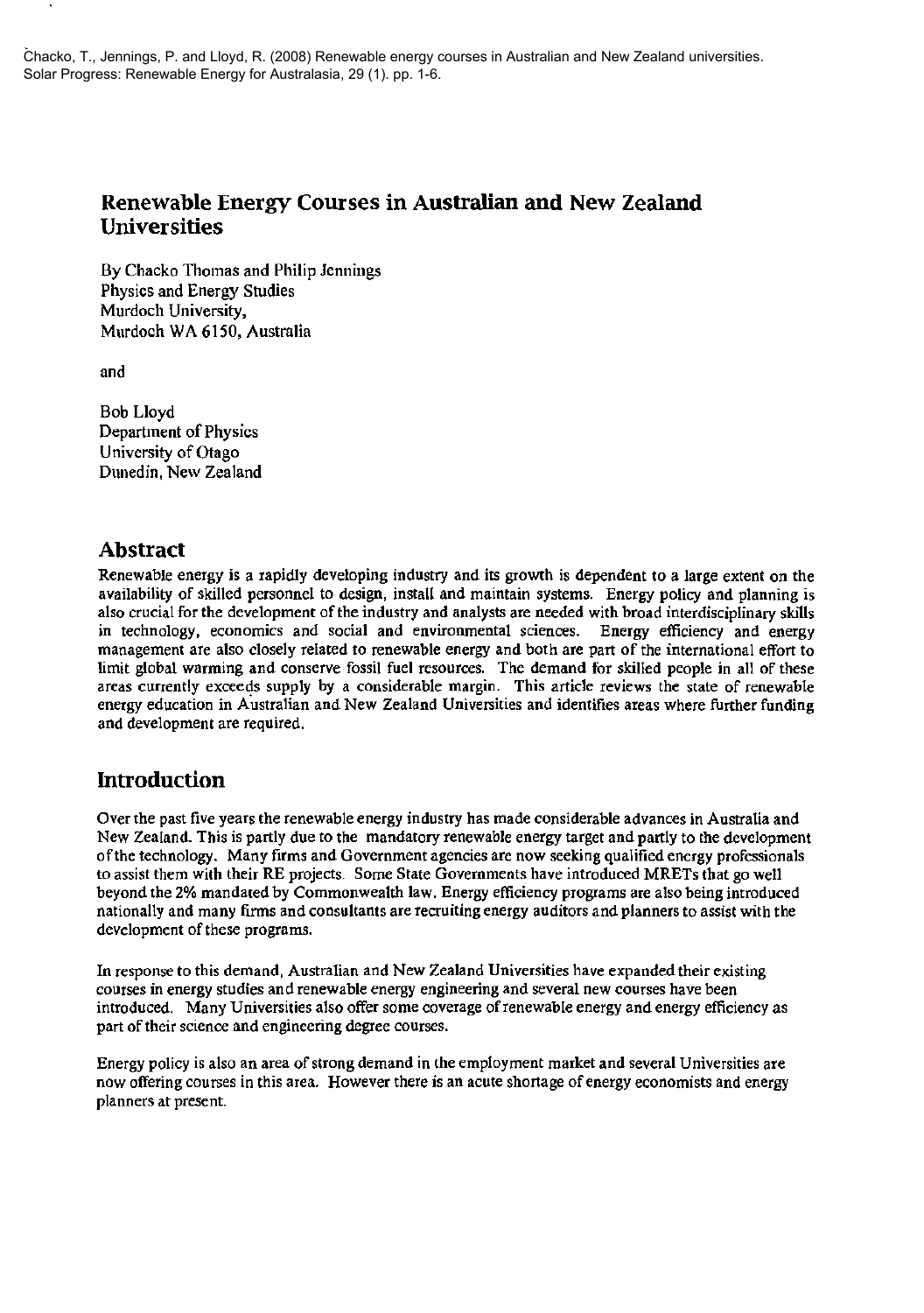# Renewable Energy Courses in Australian and New Zealand Universities

By Chacko Thomas and Philip Jennings Physics and Energy Studies Murdoch University, Murdoch WA 6150, Australia

and

Bob Lloyd Department of Physics University of Otago Dunedin, New Zealand

## Abstract

Renewable energy is a rapidly developing industry and its growth is dependent to a large extent on the availability of skilled personnel to design, install and maintain systems. Energy policy and planning is also crucial for the development of the industry and analysts are needed with broad interdisciplinary skills in technology, economics and social and environmental sciences. Energy efficiency and energy management are also closely related to renewable energy and both are part of the international effort to limit global warming and conserve fossil fuel resources. The demand for skilled people in all of these areas currently exceeds supply by a considerable margin. This article reviews the state of renewable energy education in AUstralian and New Zealand Universities and identifies areas where further funding and development are required.

# Introduction

Over the past five years the renewable energy industry has made considerable advances in Australia and New Zealand. This is partly due to the mandatory renewable energy target and partly to the development of the technology. Many firms and Government agencies are now seeking qualified energy professionals to assist them with their RE projects. Some State Governments have introduced MRETs that go well beyond the 2% mandated by Commonwealth law. Energy efficiency programs are also being introduced nationally and many firms and consultants are recruiting energy auditors and planners to assist with the development of these programs.

In response to this demand, Australian and New Zealand Universities have expanded their existing courses in energy studies and renewable energy engineering and several new courses have been introduced. Many Universities also offer some coverage of renewable energy and energy efficiency as part of their science and engineering degree courses.

Energy policy is also an area of strong demand in the employment market and several Universities are now offering courses in this area. However there is an acute shortage of energy economists and energy planners at present.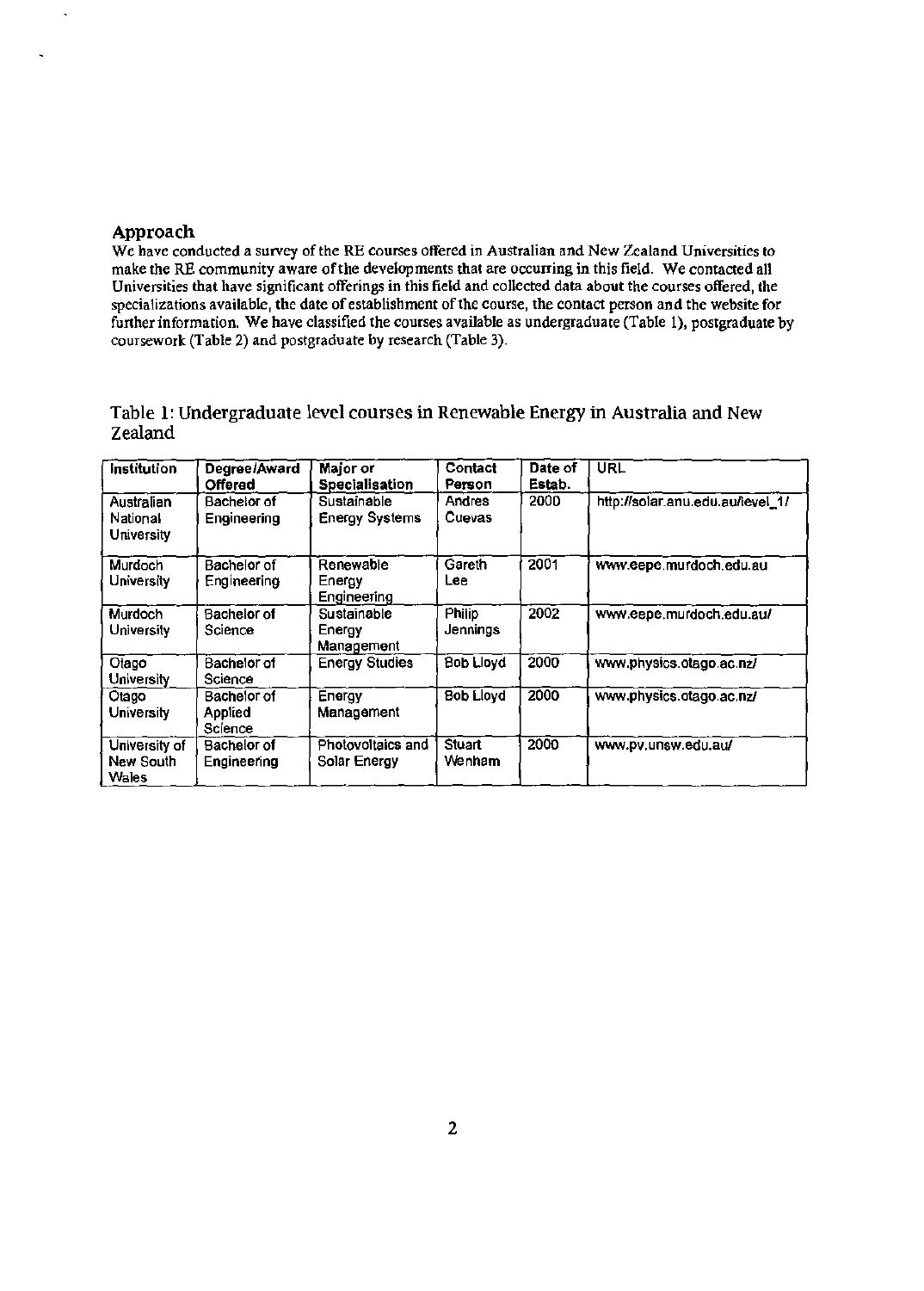## Approach

We have conducted a survey of the RE courses offered in Australian and New Zealand Universities to make the RE community aware of the developments that are occurring in this field. We contacted all Universities that have significant offerings in this field and collected data about the courses offered, the specializations available, the date of establishment of the course, the contact person and the website for further information. We have classified the courses available as undergraduate (Table 1), postgraduate by coursework (Table 2) and postgraduate by research (Table 3).

## Table 1: Undergraduate level courses in Renewable Energy in Australia and New Zealand

| <b>Institution</b>                   | Degree/Award<br>Offered           | Major or<br><b>Specialisation</b>    | Contact<br>Person         | Date of<br>Estab. | <b>URL</b>                       |
|--------------------------------------|-----------------------------------|--------------------------------------|---------------------------|-------------------|----------------------------------|
| Australian<br>National<br>University | Bachelor of<br>Engineering        | Sustainable<br><b>Energy Systems</b> | Andres<br>Cuevas          | 2000              | http://solar.anu.edu.au/level_1/ |
| <b>Murdoch</b><br>University         | Bachelor of<br>Engineering        | Renewable<br>Energy<br>Engineering   | Gareth<br>Lee             | 2001              | www.eepe.murdoch.edu.au          |
| Murdoch<br>University                | <b>Bachelor of</b><br>Science     | Sustainable<br>Energy<br>Management  | <b>Philip</b><br>Jennings | 2002              | www.eepe.murdoch.edu.au/         |
| Otago<br>University                  | <b>Bachelor</b> of<br>Science     | <b>Energy Studies</b>                | <b>Bob Lloyd</b>          | 2000              | www.physics.otago.ac.nz/         |
| Otago<br>University                  | Bachelor of<br>Applied<br>Science | Energy<br>Management                 | <b>Bob Lloyd</b>          | $\overline{2000}$ | www.physics.otago.ac.nz/         |
| University of<br>New South<br>Wales  | Bachelor of<br>Engineering        | Photovoltaics and<br>Solar Energy    | <b>Stuart</b><br>Wenham   | 2000              | www.pv.unsw.edu.au/              |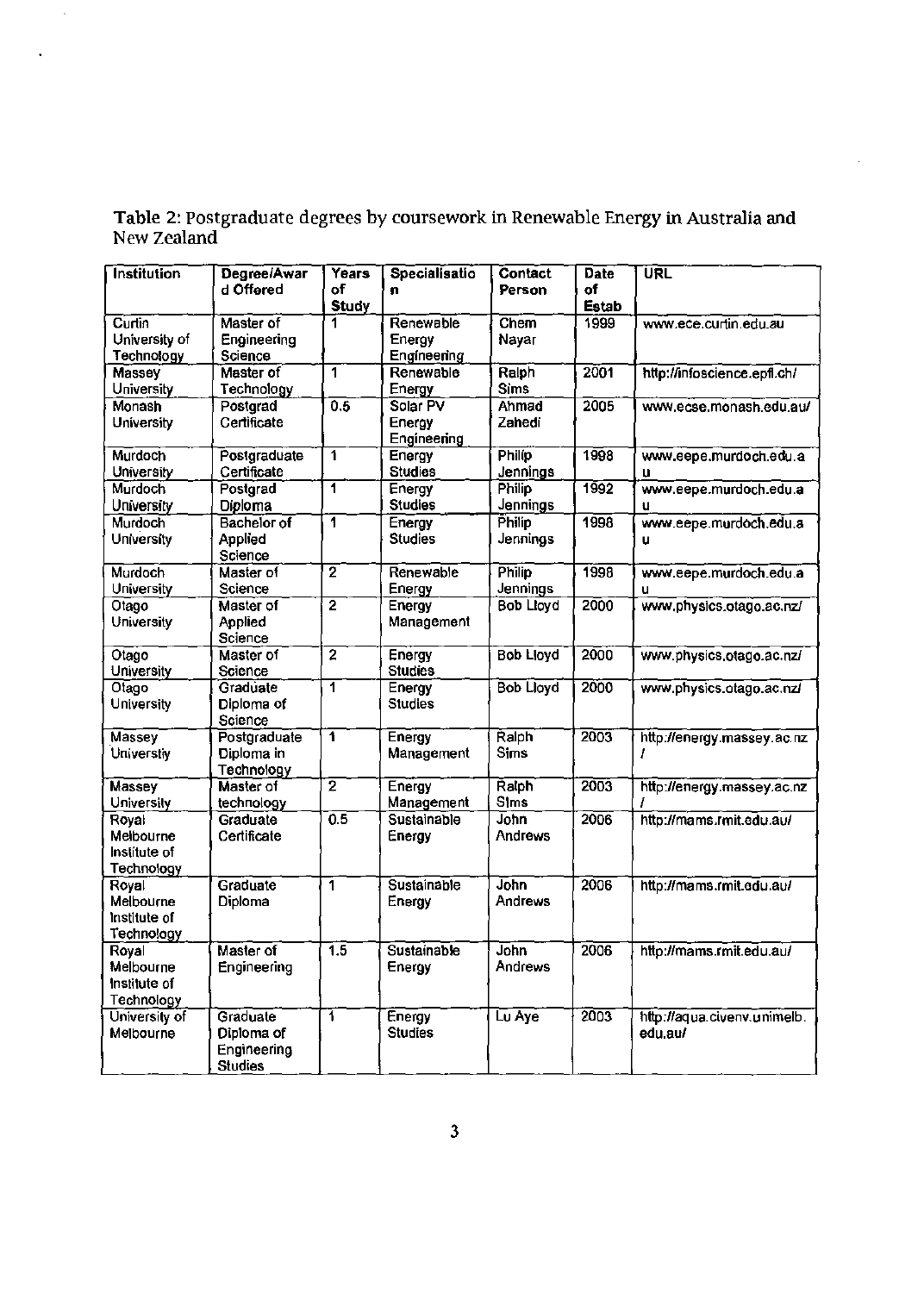| <b>Institution</b>                 | Degree/Awar          | Years                   | Specialisatio            | Contact          | Date         | URL                         |
|------------------------------------|----------------------|-------------------------|--------------------------|------------------|--------------|-----------------------------|
|                                    | d Offered            | of                      | n                        | Person           | of           |                             |
|                                    |                      | <b>Study</b>            |                          |                  | <b>Estab</b> |                             |
| Curtin                             | Master of            | 1                       | Renewable                | Chem             | 1999         | www.ece.curtin.edu.au       |
| University of                      | Engineering          |                         | Energy                   | Nayar            |              |                             |
| Technology                         | Science              |                         | Engineering              |                  |              |                             |
| Massey                             | Master of            | 1                       | Renewable                | Ralph            | 2001         | http://infoscience.epfl.ch/ |
| University                         | Technology           |                         | Energy                   | <b>Sims</b>      |              |                             |
| Monash                             | Postgrad             | 0.5                     | Solar PV                 | Ahmad            | 2005         | www.ecse.monash.edu.au/     |
| University                         | Certificate          |                         | Energy                   | Zahedi           |              |                             |
|                                    |                      |                         | Engineering              |                  |              |                             |
| Murdoch                            | Postgraduate         | 1                       | Energy                   | <b>Philip</b>    | 1998         | www.eepe.murdoch.edu.a      |
| University                         | Certificate          |                         | <b>Studies</b>           | Jennings         |              | u                           |
| Murdoch                            | Postgrad             | 1                       | Energy                   | Philip           | 1992         | www.eepe.murdoch.edu.a      |
| University                         | Diploma              |                         | <b>Studies</b>           | Jennings         |              | u                           |
| Murdoch                            | <b>Bachelor of</b>   | $\overline{\mathbf{1}}$ | Energy                   | Philip           | 1998         | www.eepe.murdoch.edu.a      |
| University                         | Applied              |                         | <b>Studies</b>           | Jennings         |              | u                           |
|                                    | Science              |                         |                          |                  |              |                             |
| Murdoch                            | Master of            | $\overline{2}$          | Renewable                | <b>Philip</b>    | 1998         | www.eepe.murdoch.edu.a      |
| University                         | Science              |                         | Energy                   | Jennings         |              | u                           |
| Otago                              | Master of            | $\overline{2}$          | Energy                   | <b>Bob Lloyd</b> | 2000         | www.physics.otago.ac.nz/    |
| University                         | Applied              |                         | Management               |                  |              |                             |
|                                    | Science              | $\overline{2}$          |                          |                  | 2000         |                             |
| Otago<br>University                | Master of<br>Science |                         | Energy<br><b>Studies</b> | <b>Bob Lloyd</b> |              | www.physics.otago.ac.nz/    |
| Otago                              | Graduate             | $\overline{1}$          | Energy                   | <b>Bob Lloyd</b> | 2000         | www.physics.otago.ac.nz/    |
| University                         | Diploma of           |                         | <b>Studies</b>           |                  |              |                             |
|                                    | Science              |                         |                          |                  |              |                             |
| Massey                             | Postgraduate         | 1                       | Energy                   | Ralph            | 2003         | http://energy.massey.ac.nz  |
| Universtiy                         | Diploma in           |                         | Management               | <b>Sims</b>      |              | I                           |
|                                    | Technology           |                         |                          |                  |              |                             |
| Massey                             | Master of            | $\overline{2}$          | Energy                   | Ralph            | 2003         | http://energy.massey.ac.nz  |
| University                         | technology           |                         | Management               | <b>Sims</b>      |              |                             |
| Royal                              | Graduate             | $\overline{0.5}$        | Sustainable              | John             | 2006         | http://mams.rmit.edu.au/    |
| Melbourne                          | Certificate          |                         | Energy                   | <b>Andrews</b>   |              |                             |
| Institute of                       |                      |                         |                          |                  |              |                             |
| Technology                         |                      |                         |                          |                  |              |                             |
| Royal                              | Graduate             | 1                       | Sustainable              | John             | 2006         | http://mams.rmit.edu.au/    |
| Melbourne                          | Diploma              |                         | Energy                   | Andrews          |              |                             |
| Institute of                       |                      |                         |                          |                  |              |                             |
| Technology                         |                      |                         |                          |                  |              |                             |
| Royal                              | Master of            | $\overline{1.5}$        | <b>Sustainable</b>       | <b>John</b>      | 2006         | http://mams.rmit.edu.au/    |
| Melbourne                          | Engineering          |                         | Energy                   | Andrews          |              |                             |
| Institute of                       |                      |                         |                          |                  |              |                             |
| <b>Technology</b><br>University of | Graduate             | ī                       | Energy                   | Lu Aye           | 2003         | http://aqua.civenv.unimelb. |
| Melbourne                          | Diploma of           |                         | <b>Studies</b>           |                  |              | edu.au/                     |
|                                    | Engineering          |                         |                          |                  |              |                             |
|                                    | <b>Studies</b>       |                         |                          |                  |              |                             |
|                                    |                      |                         |                          |                  |              |                             |

Table 2: Postgraduate degrees by coursework in Renewable Energy in Australia and New Zealand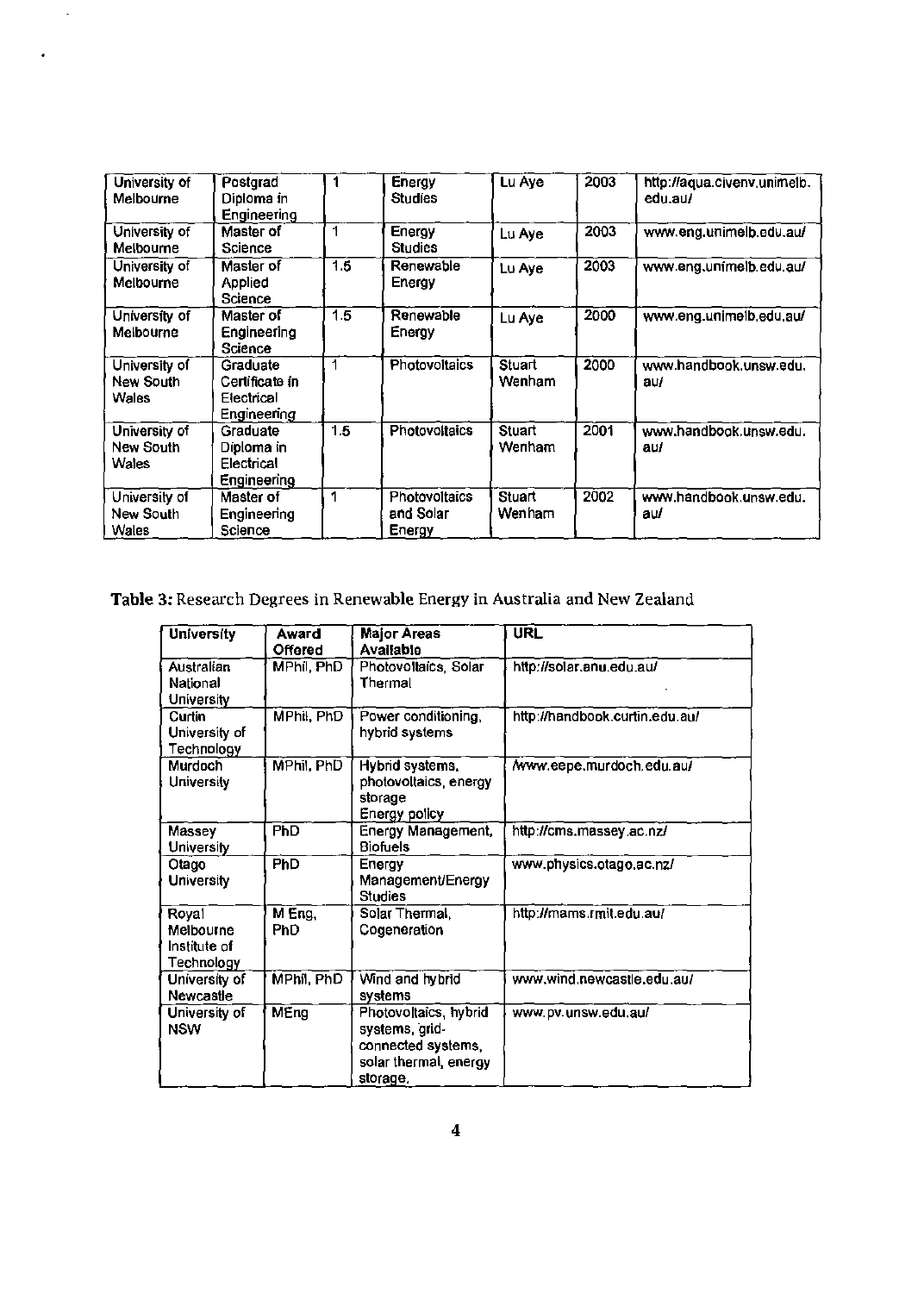| University of<br>Melbourne          | Postgrad<br>Diploma in<br><b>Engineering</b>               |     | Energy<br><b>Studies</b>             | Lu Aye           | 2003 | http://aqua.civenv.unimelb.<br>edu.au/ |
|-------------------------------------|------------------------------------------------------------|-----|--------------------------------------|------------------|------|----------------------------------------|
| University of<br>Melbourne          | Master of<br>Science                                       |     | Energy<br>Studies                    | Lu Aye           | 2003 | www.eng.unimelb.edu.au/                |
| University of<br>Melbourne          | Master of<br>Applied<br>Science                            | 1.5 | Renewable<br>Energy                  | Lu Aye           | 2003 | www.eng.unimelb.edu.au/                |
| University of<br>Melbourne          | Master of<br>Engineering<br>Science                        | 1.5 | Renewable<br>Energy                  | Lu Aye           | 2000 | www.eng.unimelb.edu.au/                |
| University of<br>New South<br>Wales | Graduate<br>Certificate in<br>Electrical<br>Engineering    | 1   | <b>Photovoltaics</b>                 | Stuart<br>Wenham | 2000 | www.handbook.unsw.edu.<br>au/          |
| University of<br>New South<br>Wales | Graduate<br>Diploma in<br>Electrical<br><b>Engineering</b> | 1.5 | <b>Photovoltaics</b>                 | Stuart<br>Wenham | 2001 | www.handbook.unsw.edu.<br>au/          |
| University of<br>New South<br>Wales | Master of<br>Engineering<br>Science                        | 1   | Photovoltaics<br>and Solar<br>Energy | Stuart<br>Wenham | 2002 | www.handbook.unsw.edu.<br>au/          |

# Table 3: Research Degrees in Renewable Energy in Australia and New Zealand

| University                                       | Award<br>Offered    | <b>Major Areas</b><br><b>Available</b>                                                             | <b>URL</b>                     |
|--------------------------------------------------|---------------------|----------------------------------------------------------------------------------------------------|--------------------------------|
| Australian<br>National<br>University             | MPhil, PhD          | Photovoltaics, Solar<br>Thermal                                                                    | http://solar.anu.edu.au/       |
| Curtin<br>University of<br>Technology            | MPhil, PhD          | Power conditioning,<br>hybrid systems                                                              | http://handbook.curtin.edu.au/ |
| Murdoch<br>University                            | MPhil, PhD          | Hybrid systems,<br>photovoltaics, energy<br>storage<br>Energy policy                               | /www.eepe.murdoch.edu.au/      |
| Massey<br>University                             | <b>PhD</b>          | <b>Energy Management,</b><br>Biofuels                                                              | http://cms.massey.ac.nz/       |
| Otago<br><b>University</b>                       | PhD                 | Energy<br>Management/Energy<br><b>Studies</b>                                                      | www.physics.otago.ac.nz/       |
| Royal<br>Melbourne<br>Institute of<br>Technology | MEng.<br><b>PhD</b> | Solar Thermal,<br>Cogeneration                                                                     | http://mams.rmit.edu.au/       |
| University of<br>Newcastle                       | MPhil, PhD          | Wind and hybrid<br>systems                                                                         | www.wind.newcastle.edu.au/     |
| University of<br><b>NSW</b>                      | MEng                | Photovoltaics, hybrid<br>systems, grid-<br>connected systems,<br>solar thermal, energy<br>storage. | www.pv.unsw.edu.au/            |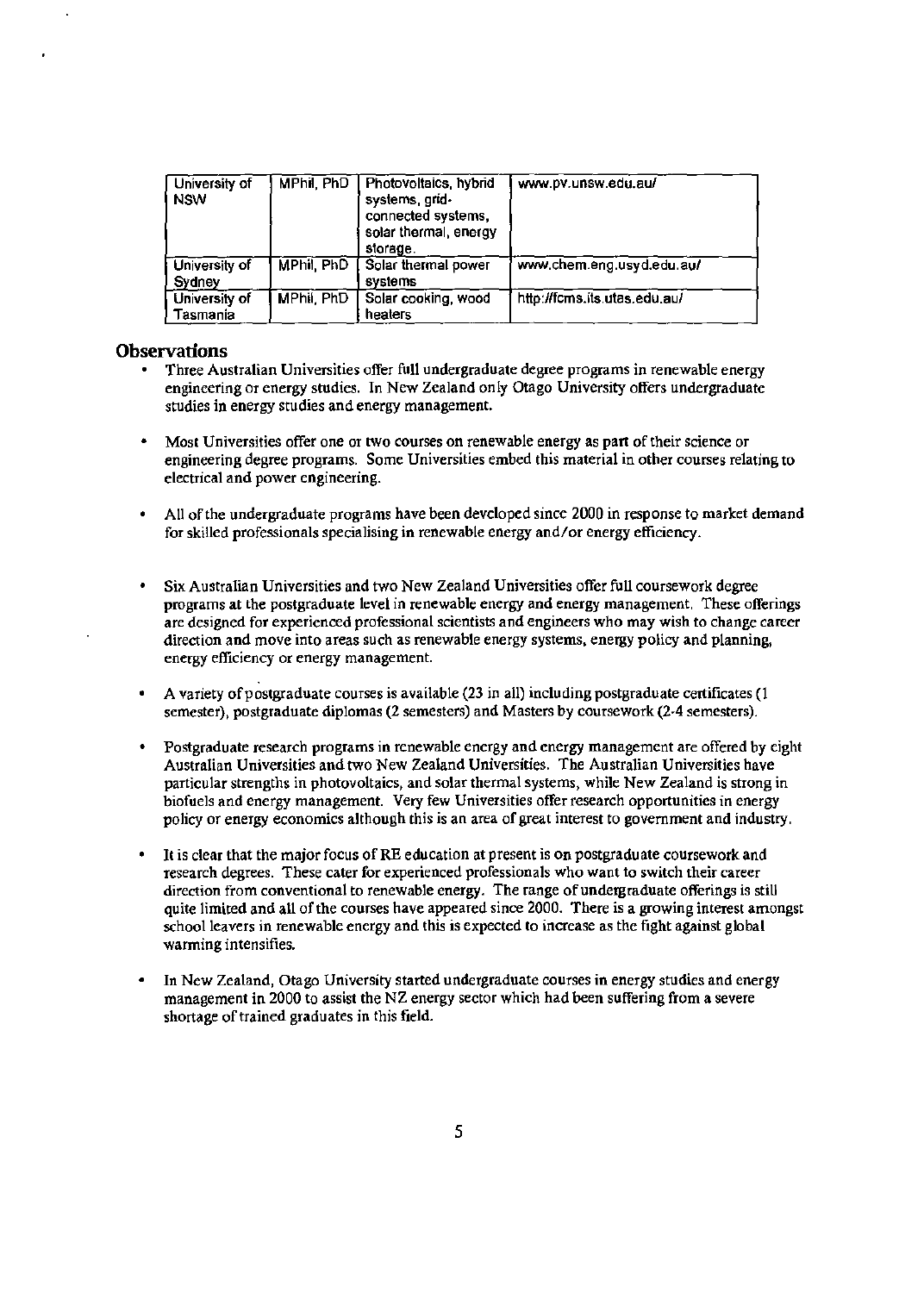| University of<br><b>NSW</b>      | MPhil, PhD | Photovoltaics, hybrid<br>systems, grid-<br>connected systems,<br>solar thermal, energy<br>storage. | www.pv.unsw.edu.au/          |
|----------------------------------|------------|----------------------------------------------------------------------------------------------------|------------------------------|
| University of<br>Sydney          | MPhil, PhD | Solar thermal power<br>systems                                                                     | www.chem.eng.usyd.edu.au/    |
| University of<br><b>Fasmania</b> | MPhil, PhD | Solar cooking, wood<br>heaters                                                                     | http://fcms.its.utas.edu.au/ |

#### **Observations**

- Three Australian Universities offer full undergraduate degree programs in renewable energy engineering or energy studies. In New Zealand only Otago University offers undergraduate studies in energy studies and energy management.
- Most Universities offer one or two courses on renewable energy as part of their science or engineering degree programs. Some Universities embed this material in other courses relating to electrical and power engineering.
- All of the undergraduate programs have been developed since 2000 in response to market demand for skilled professionals specialising in renewable energy and/or energy efficiency.
- Six Australian Universities and two New Zealand Universities offer full coursework degree programs at the postgraduate level in renewable energy and energy management. These offerings are designed for experienced professional scientists and engineers who may wish to change career direction and move into areas such as renewable energy systems, energy policy and planning, energy efficiency or energy management.
- A variety of postgraduate courses is available (23 in all) including postgraduate certificates (1 semester), postgraduate diplomas (2 semesters) and Masters by coursework (2-4 semesters).
- Postgraduate research programs in renewable energy and energy management are offered by eight Australian Universities and two New Zealand Universities. The Australian Universities have particular strengths in photovoltaics, and solar thermal systems, while New Zealand is strong in biofuels and energy management. Very few Universities offer research opportunities in energy policy or energy economics although this is an area of great interest to government and industry.
- It is clear that the major focus of RE education at present is on postgraduate coursework and research degrees. These cater for experienced professionals who want to switch their career direction from conventional to renewable energy. The range of undergraduate offerings is still quite limited and all of the courses have appeared since 2000. There is a growing interest amongst school leavers in renewable energy and this is expected to increase as the fight against global warming intensifies.
- In New Zealand, Otago University started undergraduate courses in energy studies and energy management in 2000 to assist the NZ energy sector which had been suffering from a severe shortage of trained graduates in this field.